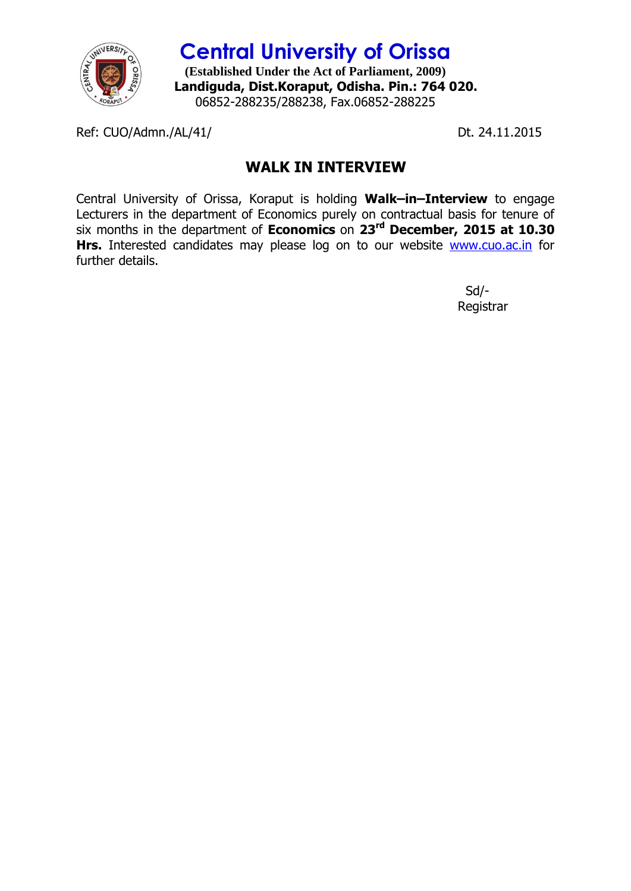

**Central University of Orissa (Established Under the Act of Parliament, 2009) Landiguda, Dist.Koraput, Odisha. Pin.: 764 020.** 06852-288235/288238, Fax.06852-288225

Ref: CUO/Admn./AL/41/ Dt. 24.11.2015

## **WALK IN INTERVIEW**

Central University of Orissa, Koraput is holding **Walk–in–Interview** to engage Lecturers in the department of Economics purely on contractual basis for tenure of six months in the department of **Economics** on **23rd December, 2015 at 10.30**  Hrs. Interested candidates may please log on to our website **[www.cuo.ac.in](http://www.cuo.ac.in/)** for further details.

> Sd/- Registrar